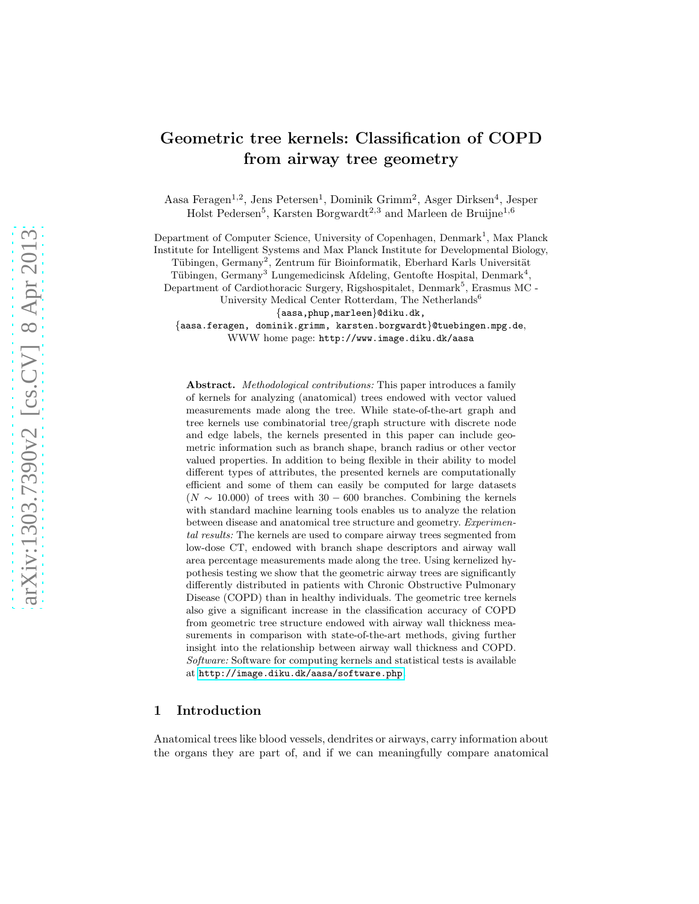# Geometric tree kernels: Classification of COPD from airway tree geometry

Aasa Feragen<sup>1,2</sup>, Jens Petersen<sup>1</sup>, Dominik Grimm<sup>2</sup>, Asger Dirksen<sup>4</sup>, Jesper Holst Pedersen<sup>5</sup>, Karsten Borgwardt<sup>2,3</sup> and Marleen de Bruijne<sup>1,6</sup>

Department of Computer Science, University of Copenhagen, Denmark<sup>1</sup>, Max Planck Institute for Intelligent Systems and Max Planck Institute for Developmental Biology,

Tübingen, Germany<sup>2</sup>, Zentrum für Bioinformatik, Eberhard Karls Universität

Tübingen, Germany<sup>3</sup> Lungemedicinsk Afdeling, Gentofte Hospital, Denmark<sup>4</sup>,

Department of Cardiothoracic Surgery, Rigshospitalet, Denmark<sup>5</sup>, Erasmus MC -

University Medical Center Rotterdam, The Netherlands<sup>6</sup>

{aasa,phup,marleen}@diku.dk,

{aasa.feragen, dominik.grimm, karsten.borgwardt}@tuebingen.mpg.de, WWW home page: http://www.image.diku.dk/aasa

Abstract. *Methodological contributions:* This paper introduces a family of kernels for analyzing (anatomical) trees endowed with vector valued measurements made along the tree. While state-of-the-art graph and tree kernels use combinatorial tree/graph structure with discrete node and edge labels, the kernels presented in this paper can include geometric information such as branch shape, branch radius or other vector valued properties. In addition to being flexible in their ability to model different types of attributes, the presented kernels are computationally efficient and some of them can easily be computed for large datasets  $(N \sim 10.000)$  of trees with 30 – 600 branches. Combining the kernels with standard machine learning tools enables us to analyze the relation between disease and anatomical tree structure and geometry. *Experimental results:* The kernels are used to compare airway trees segmented from low-dose CT, endowed with branch shape descriptors and airway wall area percentage measurements made along the tree. Using kernelized hypothesis testing we show that the geometric airway trees are significantly differently distributed in patients with Chronic Obstructive Pulmonary Disease (COPD) than in healthy individuals. The geometric tree kernels also give a significant increase in the classification accuracy of COPD from geometric tree structure endowed with airway wall thickness measurements in comparison with state-of-the-art methods, giving further insight into the relationship between airway wall thickness and COPD. *Software:* Software for computing kernels and statistical tests is available at <http://image.diku.dk/aasa/software.php>.

## 1 Introduction

Anatomical trees like blood vessels, dendrites or airways, carry information about the organs they are part of, and if we can meaningfully compare anatomical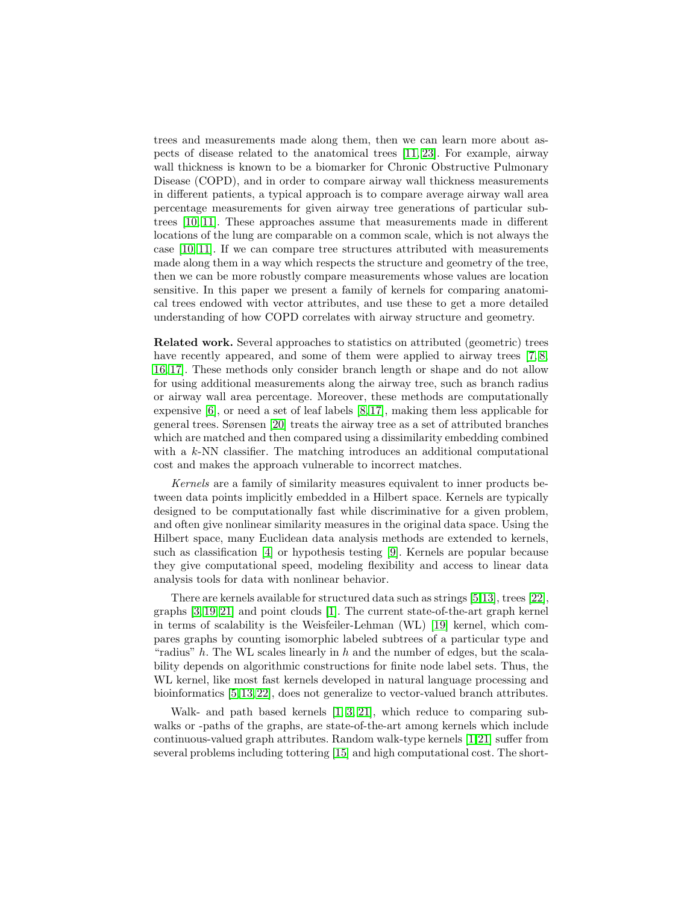trees and measurements made along them, then we can learn more about aspects of disease related to the anatomical trees [\[11,](#page-11-0) [23\]](#page-11-1). For example, airway wall thickness is known to be a biomarker for Chronic Obstructive Pulmonary Disease (COPD), and in order to compare airway wall thickness measurements in different patients, a typical approach is to compare average airway wall area percentage measurements for given airway tree generations of particular subtrees [\[10,](#page-11-2) [11\]](#page-11-0). These approaches assume that measurements made in different locations of the lung are comparable on a common scale, which is not always the case [\[10,](#page-11-2) [11\]](#page-11-0). If we can compare tree structures attributed with measurements made along them in a way which respects the structure and geometry of the tree, then we can be more robustly compare measurements whose values are location sensitive. In this paper we present a family of kernels for comparing anatomical trees endowed with vector attributes, and use these to get a more detailed understanding of how COPD correlates with airway structure and geometry.

Related work. Several approaches to statistics on attributed (geometric) trees have recently appeared, and some of them were applied to airway trees [\[7,](#page-11-3) [8,](#page-11-4) [16,](#page-11-5) [17\]](#page-11-6). These methods only consider branch length or shape and do not allow for using additional measurements along the airway tree, such as branch radius or airway wall area percentage. Moreover, these methods are computationally expensive [\[6\]](#page-11-7), or need a set of leaf labels [\[8,](#page-11-4) [17\]](#page-11-6), making them less applicable for general trees. Sørensen [\[20\]](#page-11-8) treats the airway tree as a set of attributed branches which are matched and then compared using a dissimilarity embedding combined with a k-NN classifier. The matching introduces an additional computational cost and makes the approach vulnerable to incorrect matches.

Kernels are a family of similarity measures equivalent to inner products between data points implicitly embedded in a Hilbert space. Kernels are typically designed to be computationally fast while discriminative for a given problem, and often give nonlinear similarity measures in the original data space. Using the Hilbert space, many Euclidean data analysis methods are extended to kernels, such as classification [\[4\]](#page-11-9) or hypothesis testing [\[9\]](#page-11-10). Kernels are popular because they give computational speed, modeling flexibility and access to linear data analysis tools for data with nonlinear behavior.

There are kernels available for structured data such as strings [\[5](#page-11-11)[,13\]](#page-11-12), trees [\[22\]](#page-11-13), graphs [\[3,](#page-11-14) [19,](#page-11-15) [21\]](#page-11-16) and point clouds [\[1\]](#page-11-17). The current state-of-the-art graph kernel in terms of scalability is the Weisfeiler-Lehman (WL) [\[19\]](#page-11-15) kernel, which compares graphs by counting isomorphic labeled subtrees of a particular type and "radius"  $h$ . The WL scales linearly in  $h$  and the number of edges, but the scalability depends on algorithmic constructions for finite node label sets. Thus, the WL kernel, like most fast kernels developed in natural language processing and bioinformatics [\[5,](#page-11-11) [13,](#page-11-12) [22\]](#page-11-13), does not generalize to vector-valued branch attributes.

Walk- and path based kernels [\[1,](#page-11-17) [3,](#page-11-14) [21\]](#page-11-16), which reduce to comparing subwalks or -paths of the graphs, are state-of-the-art among kernels which include continuous-valued graph attributes. Random walk-type kernels [\[1,](#page-11-17)[21\]](#page-11-16) suffer from several problems including tottering [\[15\]](#page-11-18) and high computational cost. The short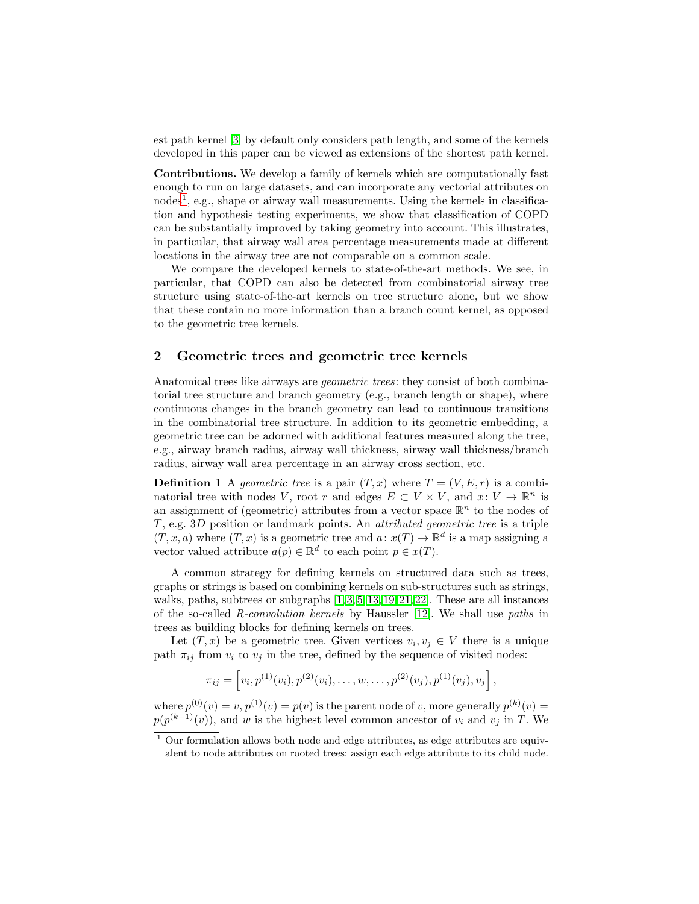est path kernel [\[3\]](#page-11-14) by default only considers path length, and some of the kernels developed in this paper can be viewed as extensions of the shortest path kernel.

Contributions. We develop a family of kernels which are computationally fast enough to run on large datasets, and can incorporate any vectorial attributes on nodes<sup>[1](#page-2-0)</sup>, e.g., shape or airway wall measurements. Using the kernels in classification and hypothesis testing experiments, we show that classification of COPD can be substantially improved by taking geometry into account. This illustrates, in particular, that airway wall area percentage measurements made at different locations in the airway tree are not comparable on a common scale.

We compare the developed kernels to state-of-the-art methods. We see, in particular, that COPD can also be detected from combinatorial airway tree structure using state-of-the-art kernels on tree structure alone, but we show that these contain no more information than a branch count kernel, as opposed to the geometric tree kernels.

## 2 Geometric trees and geometric tree kernels

Anatomical trees like airways are geometric trees: they consist of both combinatorial tree structure and branch geometry (e.g., branch length or shape), where continuous changes in the branch geometry can lead to continuous transitions in the combinatorial tree structure. In addition to its geometric embedding, a geometric tree can be adorned with additional features measured along the tree, e.g., airway branch radius, airway wall thickness, airway wall thickness/branch radius, airway wall area percentage in an airway cross section, etc.

**Definition 1** A geometric tree is a pair  $(T, x)$  where  $T = (V, E, r)$  is a combinatorial tree with nodes V, root r and edges  $E \subset V \times V$ , and  $x: V \to \mathbb{R}^n$  is an assignment of (geometric) attributes from a vector space  $\mathbb{R}^n$  to the nodes of  $T$ , e.g. 3D position or landmark points. An *attributed geometric tree* is a triple  $(T, x, a)$  where  $(T, x)$  is a geometric tree and  $a: x(T) \to \mathbb{R}^d$  is a map assigning a vector valued attribute  $a(p) \in \mathbb{R}^d$  to each point  $p \in x(T)$ .

A common strategy for defining kernels on structured data such as trees, graphs or strings is based on combining kernels on sub-structures such as strings, walks, paths, subtrees or subgraphs  $[1, 3, 5, 13, 19, 21, 22]$  $[1, 3, 5, 13, 19, 21, 22]$  $[1, 3, 5, 13, 19, 21, 22]$  $[1, 3, 5, 13, 19, 21, 22]$  $[1, 3, 5, 13, 19, 21, 22]$  $[1, 3, 5, 13, 19, 21, 22]$  $[1, 3, 5, 13, 19, 21, 22]$ . These are all instances of the so-called R-convolution kernels by Haussler [\[12\]](#page-11-19). We shall use paths in trees as building blocks for defining kernels on trees.

Let  $(T, x)$  be a geometric tree. Given vertices  $v_i, v_j \in V$  there is a unique path  $\pi_{ij}$  from  $v_i$  to  $v_j$  in the tree, defined by the sequence of visited nodes:

$$
\pi_{ij} = \left[ v_i, p^{(1)}(v_i), p^{(2)}(v_i), \dots, w, \dots, p^{(2)}(v_j), p^{(1)}(v_j), v_j \right],
$$

where  $p^{(0)}(v) = v$ ,  $p^{(1)}(v) = p(v)$  is the parent node of v, more generally  $p^{(k)}(v) = v$  $p(p^{(k-1)}(v))$ , and w is the highest level common ancestor of  $v_i$  and  $v_j$  in T. We

<span id="page-2-0"></span> $^{\rm 1}$  Our formulation allows both node and edge attributes, as edge attributes are equivalent to node attributes on rooted trees: assign each edge attribute to its child node.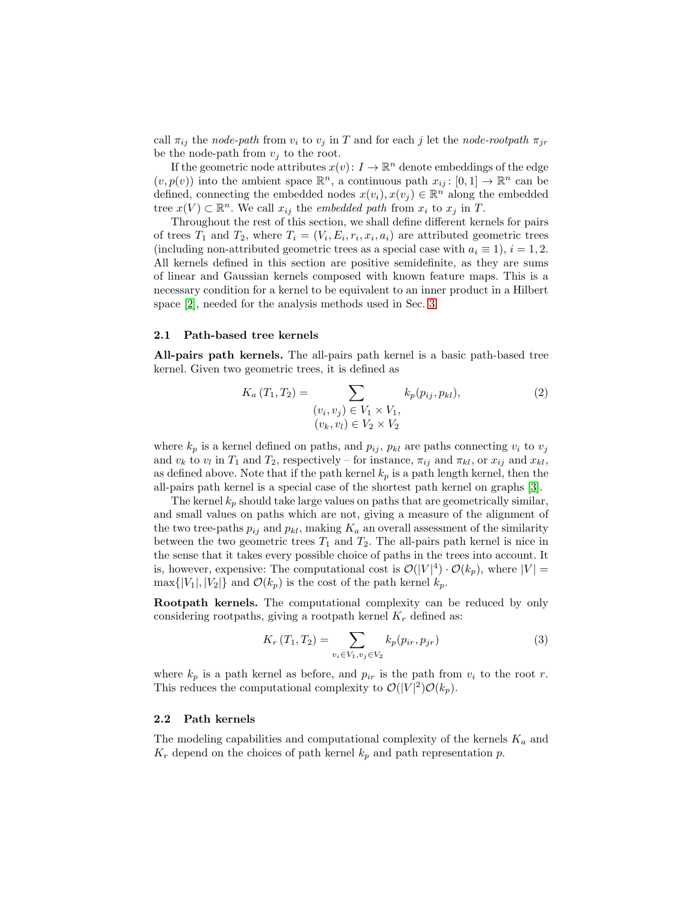call  $\pi_{ij}$  the node-path from  $v_i$  to  $v_j$  in T and for each j let the node-rootpath  $\pi_{jr}$ be the node-path from  $v_i$  to the root.

If the geometric node attributes  $x(v)$ :  $I \to \mathbb{R}^n$  denote embeddings of the edge  $(v, p(v))$  into the ambient space  $\mathbb{R}^n$ , a continuous path  $x_{ij} : [0, 1] \to \mathbb{R}^n$  can be defined, connecting the embedded nodes  $x(v_i), x(v_j) \in \mathbb{R}^n$  along the embedded tree  $x(V) \subset \mathbb{R}^n$ . We call  $x_{ij}$  the *embedded path* from  $x_i$  to  $x_j$  in T.

Throughout the rest of this section, we shall define different kernels for pairs of trees  $T_1$  and  $T_2$ , where  $T_i = (V_i, E_i, r_i, x_i, a_i)$  are attributed geometric trees (including non-attributed geometric trees as a special case with  $a_i \equiv 1$ ),  $i = 1, 2$ . All kernels defined in this section are positive semidefinite, as they are sums of linear and Gaussian kernels composed with known feature maps. This is a necessary condition for a kernel to be equivalent to an inner product in a Hilbert space [\[2\]](#page-11-20), needed for the analysis methods used in Sec. [3.](#page-7-0)

## 2.1 Path-based tree kernels

All-pairs path kernels. The all-pairs path kernel is a basic path-based tree kernel. Given two geometric trees, it is defined as

<span id="page-3-1"></span>
$$
K_a(T_1, T_2) = \sum_{\substack{(v_i, v_j) \in V_1 \times V_1, \\ (v_k, v_l) \in V_2 \times V_2}} k_p(p_{ij}, p_{kl}),\tag{2}
$$

where  $k_p$  is a kernel defined on paths, and  $p_{ij}$ ,  $p_{kl}$  are paths connecting  $v_i$  to  $v_j$ and  $v_k$  to  $v_l$  in  $T_1$  and  $T_2$ , respectively – for instance,  $\pi_{ij}$  and  $\pi_{kl}$ , or  $x_{ij}$  and  $x_{kl}$ , as defined above. Note that if the path kernel  $k_p$  is a path length kernel, then the all-pairs path kernel is a special case of the shortest path kernel on graphs [\[3\]](#page-11-14).

The kernel  $k_p$  should take large values on paths that are geometrically similar, and small values on paths which are not, giving a measure of the alignment of the two tree-paths  $p_{ij}$  and  $p_{kl}$ , making  $K_a$  an overall assessment of the similarity between the two geometric trees  $T_1$  and  $T_2$ . The all-pairs path kernel is nice in the sense that it takes every possible choice of paths in the trees into account. It is, however, expensive: The computational cost is  $\mathcal{O}(|V|^4) \cdot \mathcal{O}(k_p)$ , where  $|V| =$  $\max\{|V_1|, |V_2|\}$  and  $\mathcal{O}(k_p)$  is the cost of the path kernel  $k_p$ .

Rootpath kernels. The computational complexity can be reduced by only considering rootpaths, giving a rootpath kernel  $K_r$  defined as:

<span id="page-3-0"></span>
$$
K_r(T_1, T_2) = \sum_{v_i \in V_1, v_j \in V_2} k_p(p_{ir}, p_{jr})
$$
\n(3)

where  $k_p$  is a path kernel as before, and  $p_{ir}$  is the path from  $v_i$  to the root r. This reduces the computational complexity to  $\mathcal{O}(|V|^2)\mathcal{O}(k_p)$ .

#### 2.2 Path kernels

The modeling capabilities and computational complexity of the kernels  $K_a$  and  $K_r$  depend on the choices of path kernel  $k_p$  and path representation p.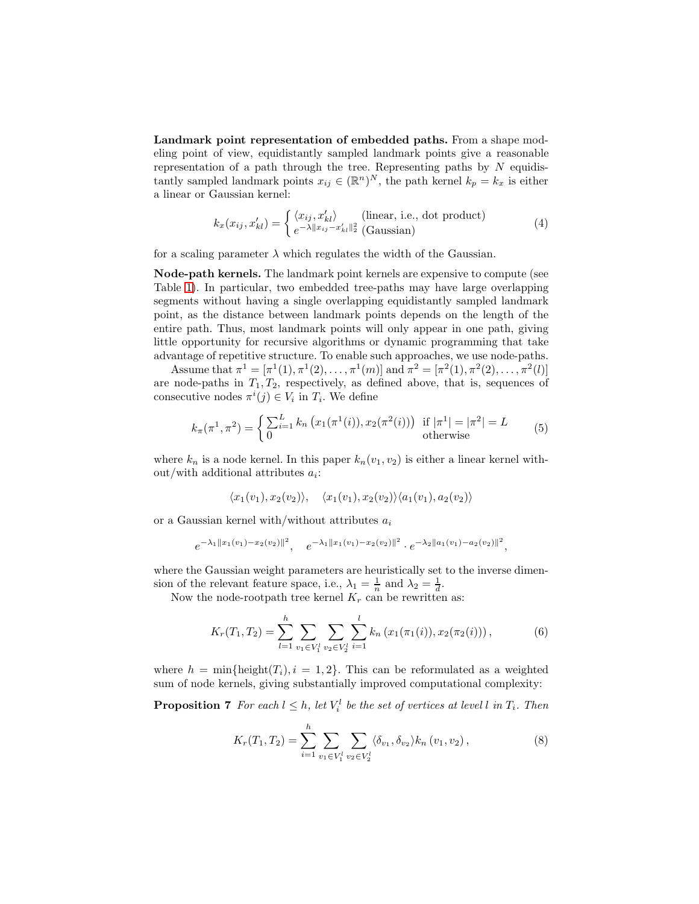Landmark point representation of embedded paths. From a shape modeling point of view, equidistantly sampled landmark points give a reasonable representation of a path through the tree. Representing paths by  $N$  equidistantly sampled landmark points  $x_{ij} \in (\mathbb{R}^n)^N$ , the path kernel  $k_p = k_x$  is either a linear or Gaussian kernel:

<span id="page-4-2"></span>
$$
k_x(x_{ij}, x'_{kl}) = \begin{cases} \langle x_{ij}, x'_{kl} \rangle & \text{(linear, i.e., dot product)}\\ e^{-\lambda ||x_{ij} - x'_{kl}||_2^2} & \text{(Gaussian)} \end{cases}
$$
(4)

for a scaling parameter  $\lambda$  which regulates the width of the Gaussian.

Node-path kernels. The landmark point kernels are expensive to compute (see Table [1\)](#page-6-0). In particular, two embedded tree-paths may have large overlapping segments without having a single overlapping equidistantly sampled landmark point, as the distance between landmark points depends on the length of the entire path. Thus, most landmark points will only appear in one path, giving little opportunity for recursive algorithms or dynamic programming that take advantage of repetitive structure. To enable such approaches, we use node-paths.

Assume that  $\pi^1 = [\pi^1(1), \pi^1(2), \ldots, \pi^1(m)]$  and  $\pi^2 = [\pi^2(1), \pi^2(2), \ldots, \pi^2(l)]$ are node-paths in  $T_1, T_2$ , respectively, as defined above, that is, sequences of consecutive nodes  $\pi^{i}(j) \in V_{i}$  in  $T_{i}$ . We define

$$
k_{\pi}(\pi^1, \pi^2) = \begin{cases} \sum_{i=1}^L k_n \left( x_1(\pi^1(i)), x_2(\pi^2(i)) \right) & \text{if } |\pi^1| = |\pi^2| = L \\ 0 & \text{otherwise} \end{cases}
$$
(5)

where  $k_n$  is a node kernel. In this paper  $k_n(v_1, v_2)$  is either a linear kernel without/with additional attributes  $a_i$ :

<span id="page-4-3"></span><span id="page-4-1"></span>
$$
\langle x_1(v_1), x_2(v_2) \rangle, \quad \langle x_1(v_1), x_2(v_2) \rangle \langle a_1(v_1), a_2(v_2) \rangle
$$

or a Gaussian kernel with/without attributes  $a_i$ 

$$
e^{-\lambda_1||x_1(v_1)-x_2(v_2)||^2}
$$
,  $e^{-\lambda_1||x_1(v_1)-x_2(v_2)||^2}$ .  $e^{-\lambda_2||a_1(v_1)-a_2(v_2)||^2}$ ,

where the Gaussian weight parameters are heuristically set to the inverse dimension of the relevant feature space, i.e.,  $\lambda_1 = \frac{1}{n}$  and  $\lambda_2 = \frac{1}{d}$ .

Now the node-rootpath tree kernel  $K_r$  can be rewritten as:

$$
K_r(T_1, T_2) = \sum_{l=1}^h \sum_{v_1 \in V_1^l} \sum_{v_2 \in V_2^l} \sum_{i=1}^l k_n \left( x_1(\pi_1(i)), x_2(\pi_2(i)) \right), \tag{6}
$$

<span id="page-4-4"></span>where  $h = \min\{\text{height}(T_i), i = 1, 2\}$ . This can be reformulated as a weighted sum of node kernels, giving substantially improved computational complexity:

**Proposition 7** For each  $l \leq h$ , let  $V_i^l$  be the set of vertices at level l in  $T_i$ . Then

<span id="page-4-0"></span>
$$
K_r(T_1, T_2) = \sum_{i=1}^h \sum_{v_1 \in V_1^l} \sum_{v_2 \in V_2^l} \langle \delta_{v_1}, \delta_{v_2} \rangle k_n(v_1, v_2), \tag{8}
$$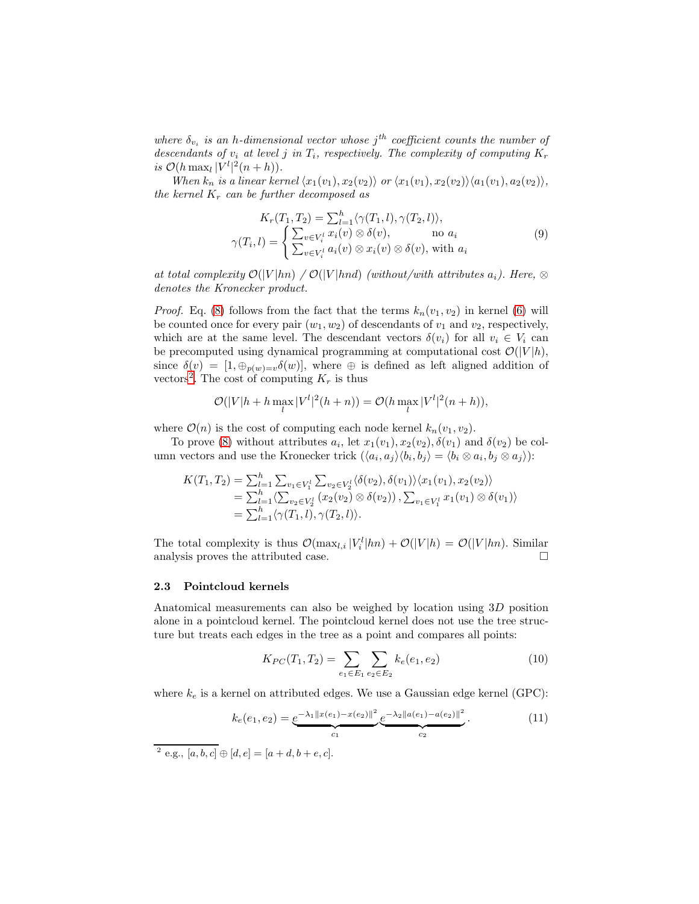where  $\delta_{v_i}$  is an h-dimensional vector whose  $j^{th}$  coefficient counts the number of descendants of  $v_i$  at level j in  $T_i$ , respectively. The complexity of computing  $K_r$ is  $\mathcal{O}(h \max_l |V^l|^2(n+h)).$ 

When  $k_n$  is a linear kernel  $\langle x_1(v_1), x_2(v_2) \rangle$  or  $\langle x_1(v_1), x_2(v_2) \rangle \langle a_1(v_1), a_2(v_2) \rangle$ , the kernel  $K_r$  can be further decomposed as

$$
K_r(T_1, T_2) = \sum_{l=1}^h \langle \gamma(T_1, l), \gamma(T_2, l) \rangle,
$$
  

$$
\gamma(T_i, l) = \begin{cases} \sum_{v \in V_i^l} x_i(v) \otimes \delta(v), & \text{no } a_i \\ \sum_{v \in V_i^l} a_i(v) \otimes x_i(v) \otimes \delta(v), & \text{with } a_i \end{cases}
$$
(9)

at total complexity  $\mathcal{O}(|V|hn) / \mathcal{O}(|V|hnd)$  (without/with attributes  $a_i$ ). Here,  $\otimes$ denotes the Kronecker product.

*Proof.* Eq. [\(8\)](#page-4-0) follows from the fact that the terms  $k_n(v_1, v_2)$  in kernel [\(6\)](#page-4-1) will be counted once for every pair  $(w_1, w_2)$  of descendants of  $v_1$  and  $v_2$ , respectively, which are at the same level. The descendant vectors  $\delta(v_i)$  for all  $v_i \in V_i$  can be precomputed using dynamical programming at computational cost  $\mathcal{O}(|V|h)$ , since  $\delta(v) = [1, \bigoplus_{p(w)=v} \delta(w)]$ , where  $\oplus$  is defined as left aligned addition of vectors<sup>[2](#page-5-0)</sup>. The cost of computing  $K_r$  is thus

$$
\mathcal{O}(|V|h + h \max_{l} |V^{l}|^{2}(h+n)) = \mathcal{O}(h \max_{l} |V^{l}|^{2}(n+h)),
$$

where  $\mathcal{O}(n)$  is the cost of computing each node kernel  $k_n(v_1, v_2)$ .

To prove [\(8\)](#page-4-0) without attributes  $a_i$ , let  $x_1(v_1), x_2(v_2), \delta(v_1)$  and  $\delta(v_2)$  be column vectors and use the Kronecker trick  $(\langle a_i, a_j \rangle \langle b_i, b_j \rangle = \langle b_i \otimes a_i, b_j \otimes a_j \rangle)$ :

$$
K(T_1, T_2) = \sum_{l=1}^h \sum_{v_1 \in V_1^l} \sum_{v_2 \in V_2^l} \langle \delta(v_2), \delta(v_1) \rangle \langle x_1(v_1), x_2(v_2) \rangle
$$
  
=  $\sum_{l=1}^h \langle \sum_{v_2 \in V_2^l} (x_2(v_2) \otimes \delta(v_2)), \sum_{v_1 \in V_1^l} x_1(v_1) \otimes \delta(v_1) \rangle$   
=  $\sum_{l=1}^h \langle \gamma(T_1, l), \gamma(T_2, l) \rangle$ .

The total complexity is thus  $\mathcal{O}(\max_{l,i} |V_i^l|hn) + \mathcal{O}(|V|h) = \mathcal{O}(|V|hn)$ . Similar analysis proves the attributed case.

#### 2.3 Pointcloud kernels

Anatomical measurements can also be weighed by location using 3D position alone in a pointcloud kernel. The pointcloud kernel does not use the tree structure but treats each edges in the tree as a point and compares all points:

<span id="page-5-1"></span>
$$
K_{PC}(T_1, T_2) = \sum_{e_1 \in E_1} \sum_{e_2 \in E_2} k_e(e_1, e_2)
$$
 (10)

where  $k_e$  is a kernel on attributed edges. We use a Gaussian edge kernel (GPC):

$$
k_e(e_1, e_2) = \underbrace{e^{-\lambda_1 \|x(e_1) - x(e_2)\|^2}}_{c_1} \underbrace{e^{-\lambda_2 \|a(e_1) - a(e_2)\|^2}}_{c_2}.
$$
\n
$$
(11)
$$

<span id="page-5-0"></span><sup>&</sup>lt;sup>2</sup> e.g.,  $[a, b, c] \oplus [d, e] = [a + d, b + e, c]$ .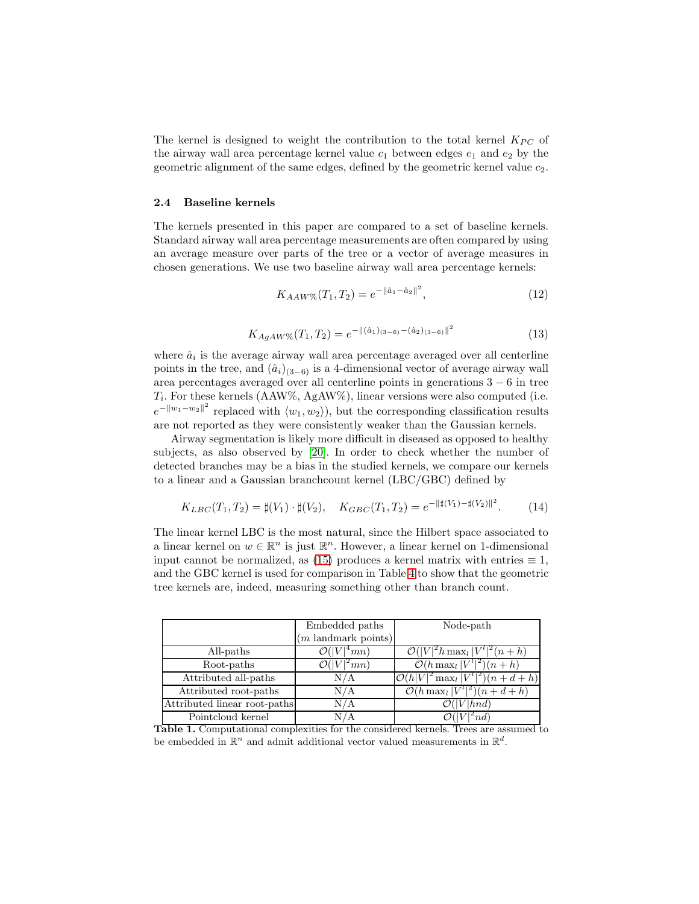The kernel is designed to weight the contribution to the total kernel  $K_{PC}$  of the airway wall area percentage kernel value  $c_1$  between edges  $e_1$  and  $e_2$  by the geometric alignment of the same edges, defined by the geometric kernel value  $c_2$ .

#### 2.4 Baseline kernels

The kernels presented in this paper are compared to a set of baseline kernels. Standard airway wall area percentage measurements are often compared by using an average measure over parts of the tree or a vector of average measures in chosen generations. We use two baseline airway wall area percentage kernels:

<span id="page-6-2"></span><span id="page-6-1"></span>
$$
K_{AAW\%}(T_1, T_2) = e^{-\|\hat{a}_1 - \hat{a}_2\|^2},\tag{12}
$$

$$
K_{AgAW\%}(T_1, T_2) = e^{-\|(\hat{a}_1)_{(3-6)} - (\hat{a}_2)_{(3-6)}\|^2}
$$
\n(13)

<span id="page-6-3"></span>where  $\hat{a}_i$  is the average airway wall area percentage averaged over all centerline points in the tree, and  $(\hat{a}_i)_{(3-6)}$  is a 4-dimensional vector of average airway wall area percentages averaged over all centerline points in generations 3 − 6 in tree  $T_i$ . For these kernels (AAW%, AgAW%), linear versions were also computed (i.e.  $e^{-||w_1-w_2||^2}$  replaced with  $\langle w_1, w_2 \rangle$ , but the corresponding classification results are not reported as they were consistently weaker than the Gaussian kernels.

Airway segmentation is likely more difficult in diseased as opposed to healthy subjects, as also observed by [\[20\]](#page-11-8). In order to check whether the number of detected branches may be a bias in the studied kernels, we compare our kernels to a linear and a Gaussian branchcount kernel (LBC/GBC) defined by

$$
K_{LBC}(T_1, T_2) = \sharp(V_1) \cdot \sharp(V_2), \quad K_{GBC}(T_1, T_2) = e^{-\|\sharp(V_1) - \sharp(V_2)\|^2}.
$$
 (14)

The linear kernel LBC is the most natural, since the Hilbert space associated to a linear kernel on  $w \in \mathbb{R}^n$  is just  $\mathbb{R}^n$ . However, a linear kernel on 1-dimensional input cannot be normalized, as [\(15\)](#page-7-1) produces a kernel matrix with entries  $\equiv 1$ , and the GBC kernel is used for comparison in Table [4](#page-9-0) to show that the geometric tree kernels are, indeed, measuring something other than branch count.

|                              | Embedded paths                    | Node-path                                       |  |
|------------------------------|-----------------------------------|-------------------------------------------------|--|
|                              | $(m \text{ landmark points})$     |                                                 |  |
| All-paths                    | O( V )<br>$\vert {}^{4}mn)$       | $\mathcal{O}( V ^2 h \max_l  V^l ^2(n+h)$       |  |
| Root-paths                   | $\overline{\mathcal{O}( V ^2mn)}$ | $\mathcal{O}(h \max_l  \overline{V}^l ^2)(n+h)$ |  |
| Attributed all-paths         | N/A                               | $\mathcal{O}(h V ^2 \max_l  V^l ^2)(n+d+h)$     |  |
| Attributed root-paths        | N/A                               | $\mathcal{O}(h \max_l  V^l ^2)(n+d+h)$          |  |
| Attributed linear root-paths | N/A                               | $\mathcal{O}( V  hnd)$                          |  |
| Pointcloud kernel            | N / A                             | $nd^{\circ}$                                    |  |

<span id="page-6-0"></span>Table 1. Computational complexities for the considered kernels. Trees are assumed to be embedded in  $\mathbb{R}^n$  and admit additional vector valued measurements in  $\mathbb{R}^d$ .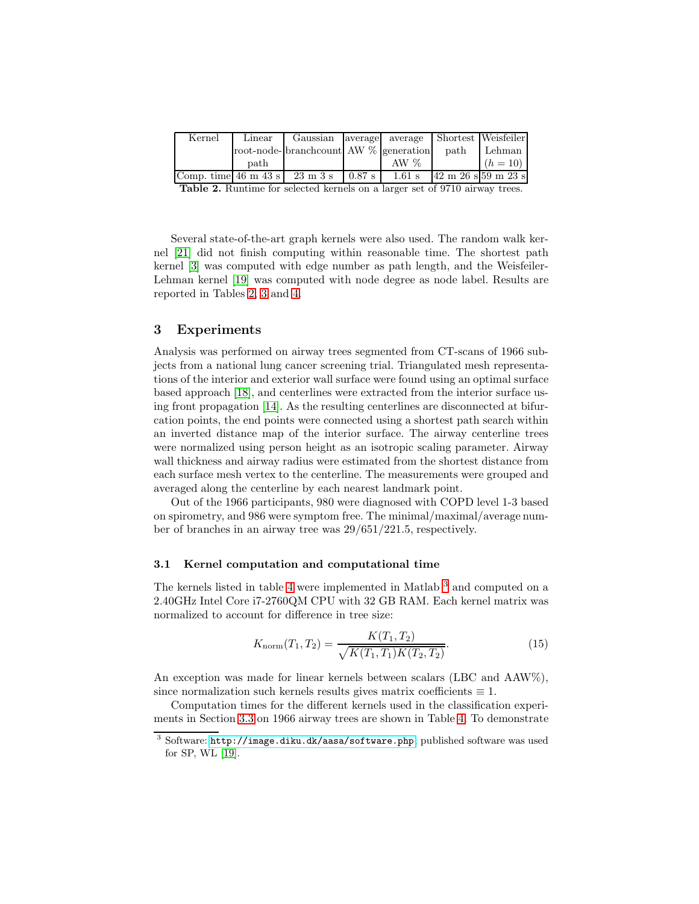| Kernel                                  | Linear | Gaussian   average   average   Shortest   Weisfeiler |          |          |      |                                        |
|-----------------------------------------|--------|------------------------------------------------------|----------|----------|------|----------------------------------------|
|                                         |        | root-node-<br>pranchcount AW % generation            |          |          | path | Lehman                                 |
|                                         | path   |                                                      |          | AW $%$   |      | $(h = 10)$                             |
| Comp. time $46 \text{ m } 43 \text{ s}$ |        | 23 m 3 s                                             | $0.87$ s | $1.61$ s |      | $42 \text{ m } 26 \text{ s}$ 59 m 23 s |

<span id="page-7-2"></span>Table 2. Runtime for selected kernels on a larger set of 9710 airway trees.

Several state-of-the-art graph kernels were also used. The random walk kernel [\[21\]](#page-11-16) did not finish computing within reasonable time. The shortest path kernel [\[3\]](#page-11-14) was computed with edge number as path length, and the Weisfeiler-Lehman kernel [\[19\]](#page-11-15) was computed with node degree as node label. Results are reported in Tables [2,](#page-7-2) [3](#page-8-0) and [4.](#page-9-0)

## <span id="page-7-0"></span>3 Experiments

Analysis was performed on airway trees segmented from CT-scans of 1966 subjects from a national lung cancer screening trial. Triangulated mesh representations of the interior and exterior wall surface were found using an optimal surface based approach [\[18\]](#page-11-21), and centerlines were extracted from the interior surface using front propagation [\[14\]](#page-11-22). As the resulting centerlines are disconnected at bifurcation points, the end points were connected using a shortest path search within an inverted distance map of the interior surface. The airway centerline trees were normalized using person height as an isotropic scaling parameter. Airway wall thickness and airway radius were estimated from the shortest distance from each surface mesh vertex to the centerline. The measurements were grouped and averaged along the centerline by each nearest landmark point.

Out of the 1966 participants, 980 were diagnosed with COPD level 1-3 based on spirometry, and 986 were symptom free. The minimal/maximal/average number of branches in an airway tree was 29/651/221.5, respectively.

#### <span id="page-7-4"></span>3.1 Kernel computation and computational time

The kernels listed in table [4](#page-9-0) were implemented in Matlab<sup>[3](#page-7-3)</sup> and computed on a 2.40GHz Intel Core i7-2760QM CPU with 32 GB RAM. Each kernel matrix was normalized to account for difference in tree size:

<span id="page-7-1"></span>
$$
K_{\text{norm}}(T_1, T_2) = \frac{K(T_1, T_2)}{\sqrt{K(T_1, T_1)K(T_2, T_2)}}.
$$
\n(15)

An exception was made for linear kernels between scalars (LBC and AAW%), since normalization such kernels results gives matrix coefficients  $\equiv 1$ .

Computation times for the different kernels used in the classification experiments in Section [3.3](#page-9-1) on 1966 airway trees are shown in Table [4.](#page-9-0) To demonstrate

<span id="page-7-3"></span><sup>3</sup> Software: <http://image.diku.dk/aasa/software.php>; published software was used for SP, WL [\[19\]](#page-11-15).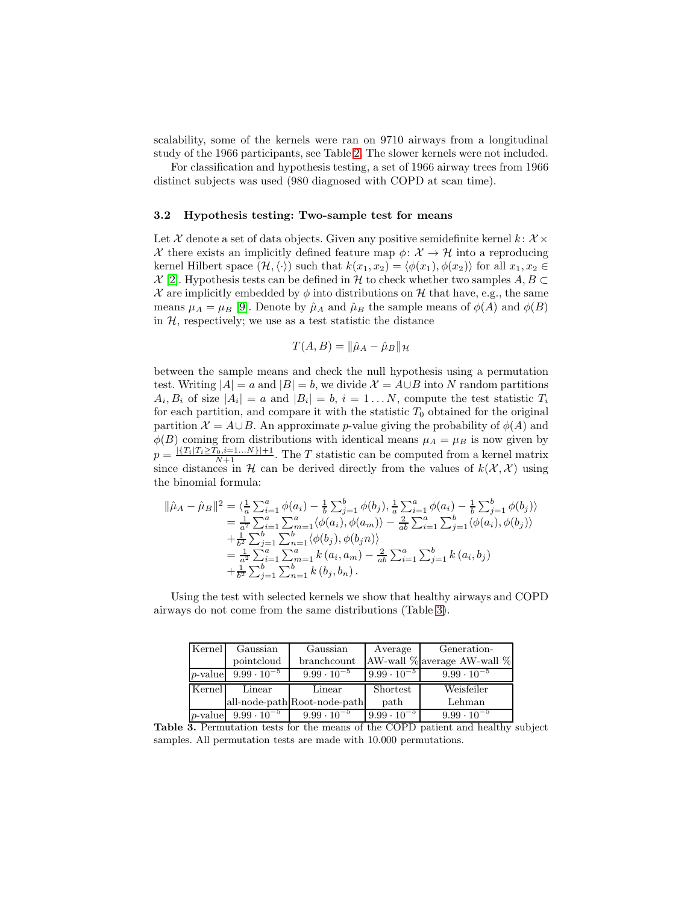scalability, some of the kernels were ran on 9710 airways from a longitudinal study of the 1966 participants, see Table [2.](#page-7-2) The slower kernels were not included.

For classification and hypothesis testing, a set of 1966 airway trees from 1966 distinct subjects was used (980 diagnosed with COPD at scan time).

#### 3.2 Hypothesis testing: Two-sample test for means

Let X denote a set of data objects. Given any positive semidefinite kernel  $k: X \times$ X there exists an implicitly defined feature map  $\phi: \mathcal{X} \to \mathcal{H}$  into a reproducing kernel Hilbert space  $(\mathcal{H}, \langle \cdot \rangle)$  such that  $k(x_1, x_2) = \langle \phi(x_1), \phi(x_2) \rangle$  for all  $x_1, x_2 \in$  $X$  [\[2\]](#page-11-20). Hypothesis tests can be defined in H to check whether two samples  $A, B \subset$ X are implicitly embedded by  $\phi$  into distributions on H that have, e.g., the same means  $\mu_A = \mu_B$  [\[9\]](#page-11-10). Denote by  $\hat{\mu}_A$  and  $\hat{\mu}_B$  the sample means of  $\phi(A)$  and  $\phi(B)$ in  $H$ , respectively; we use as a test statistic the distance

$$
T(A, B) = \|\hat{\mu}_A - \hat{\mu}_B\|_{\mathcal{H}}
$$

between the sample means and check the null hypothesis using a permutation test. Writing  $|A| = a$  and  $|B| = b$ , we divide  $\mathcal{X} = A \cup B$  into N random partitions  $A_i, B_i$  of size  $|A_i| = a$  and  $|B_i| = b$ ,  $i = 1...N$ , compute the test statistic  $T_i$ for each partition, and compare it with the statistic  $T_0$  obtained for the original partition  $\mathcal{X} = A \cup B$ . An approximate p-value giving the probability of  $\phi(A)$  and  $\phi(B)$  coming from distributions with identical means  $\mu_A = \mu_B$  is now given by  $p = \frac{|\{T_i|T_i \geq T_0, i=1...N\}|+1}{N+1}$ . The T statistic can be computed from a kernel matrix since distances in H can be derived directly from the values of  $k(\mathcal{X}, \mathcal{X})$  using the binomial formula:

$$
\begin{split}\n\|\hat{\mu}_A - \hat{\mu}_B\|^2 &= \langle \frac{1}{a} \sum_{i=1}^a \phi(a_i) - \frac{1}{b} \sum_{j=1}^b \phi(b_j), \frac{1}{a} \sum_{i=1}^a \phi(a_i) - \frac{1}{b} \sum_{j=1}^b \phi(b_j) \rangle \\
&= \frac{1}{a^2} \sum_{i=1}^a \sum_{m=1}^a \langle \phi(a_i), \phi(a_m) \rangle - \frac{2}{ab} \sum_{i=1}^a \sum_{j=1}^b \langle \phi(a_i), \phi(b_j) \rangle \\
&\quad + \frac{1}{b^2} \sum_{j=1}^b \sum_{n=1}^b \langle \phi(b_j), \phi(b_j n) \rangle \\
&= \frac{1}{a^2} \sum_{i=1}^a \sum_{m=1}^a k(a_i, a_m) - \frac{2}{ab} \sum_{i=1}^a \sum_{j=1}^b k(a_i, b_j) \\
&\quad + \frac{1}{b^2} \sum_{j=1}^b \sum_{n=1}^b k(b_j, b_n).\n\end{split}
$$

Using the test with selected kernels we show that healthy airways and COPD airways do not come from the same distributions (Table [3\)](#page-8-0).

| Kernel     | Gaussian             | Gaussian                     | Average              | Generation-                 |
|------------|----------------------|------------------------------|----------------------|-----------------------------|
|            | pointcloud           | branchcount                  |                      | AW-wall % average AW-wall % |
| $p$ -value | $9.99 \cdot 10^{-5}$ | $9.99 \cdot 10^{-5}$         | $9.99 \cdot 10^{-5}$ | $9.99 \cdot 10^{-5}$        |
| Kernel     | Linear               | Linear                       | Shortest             | Weisfeiler                  |
|            |                      | all-node-path Root-node-path | path                 | Lehman                      |
| $p$ -value | $9.99 \cdot 10^{-5}$ | $9.99 \cdot 10^{-5}$         | $9.99 \cdot 10^{-5}$ | $9.99 \cdot 10^{-5}$        |

<span id="page-8-0"></span>Table 3. Permutation tests for the means of the COPD patient and healthy subject samples. All permutation tests are made with 10.000 permutations.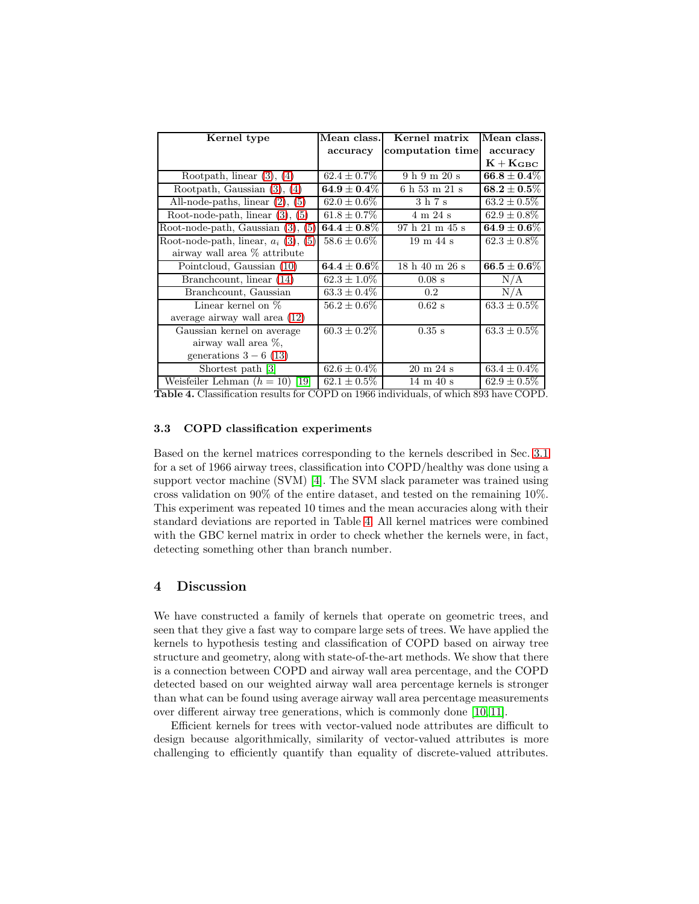| Kernel type                                                                                | Mean class.                        | Kernel matrix                                  | Mean class.                        |
|--------------------------------------------------------------------------------------------|------------------------------------|------------------------------------------------|------------------------------------|
|                                                                                            | accuracy                           | computation time                               | accuracy                           |
|                                                                                            |                                    |                                                | $K + K_{GBC}$                      |
| Rootpath, linear $(3)$ , $(4)$                                                             | $62.4 \pm 0.7\%$                   | 9h9m20s                                        | $\mathbf{66.8} \pm \mathbf{0.4}\%$ |
| Rootpath, Gaussian (3),<br>(4)                                                             | $\textbf{64.9} \pm \textbf{0.4}\%$ | 6 h 53 m 21 s                                  | $\textbf{68.2} \pm \textbf{0.5}\%$ |
| All-node-paths, linear (2),<br>(5)                                                         | $62.0 \pm 0.6\%$                   | 3 h 7 s                                        | $63.2 \pm 0.5\%$                   |
| Root-node-path, linear (3),<br>(5)                                                         | $61.8 \pm 0.7\%$                   | 4 m 24 s                                       | $62.9 \pm 0.8\%$                   |
| Root-node-path, Gaussian (3),<br>(5)                                                       | $\pmb{64.4\pm0.8\%}$               | 97 h 21 m 45 s                                 | $\textbf{64.9} \pm \textbf{0.6}\%$ |
| Root-node-path, linear, $a_i$ (3), (5)                                                     | $58.6 \pm 0.6\%$                   | $19 \text{ m } 44 \text{ s}$                   | $62.3 \pm 0.8\%$                   |
| airway wall area % attribute                                                               |                                    |                                                |                                    |
| Pointcloud, Gaussian (10)                                                                  | $\textbf{64.4} \pm \textbf{0.6}\%$ | 18 h 40 m 26 s                                 | $\mathbf{66.5} \pm \mathbf{0.6}\%$ |
| Branchcount, linear (14)                                                                   | $62.3 \pm 1.0\%$                   | $0.08$ s                                       | N/A                                |
| Branchcount, Gaussian                                                                      | $63.3 \pm 0.4\%$                   | $0.2\,$                                        | N/A                                |
| Linear kernel on $\%$                                                                      | $56.2 \pm 0.6\%$                   | $0.62$ s                                       | $63.3 \pm 0.5\%$                   |
| average airway wall area (12)                                                              |                                    |                                                |                                    |
| Gaussian kernel on average                                                                 | $60.3 \pm 0.2\%$                   | $0.35$ s                                       | $63.3 \pm 0.5\%$                   |
| airway wall area %,                                                                        |                                    |                                                |                                    |
| generations $3-6$ (13)                                                                     |                                    |                                                |                                    |
| Shortest path [3]                                                                          | $62.6 \pm 0.4\%$                   | $20 \text{ m } 24 \text{ s}$                   | $63.4 \pm 0.4\%$                   |
| Weisfeiler Lehman $(h = 10)$ [19]<br>m 11 / 01 10 11<br>$\mathbf{1}$ $\mathbf{c}$ $\alpha$ | $62.1 \pm 0.5\%$                   | $14 \text{ m } 40 \text{ s}$<br>$6 + 1$ $0001$ | $62.9 \pm 0.5\%$                   |

## <span id="page-9-0"></span>Table 4. Classification results for COPD on 1966 individuals, of which 893 have COPD.

## <span id="page-9-1"></span>3.3 COPD classification experiments

Based on the kernel matrices corresponding to the kernels described in Sec. [3.1](#page-7-4) for a set of 1966 airway trees, classification into COPD/healthy was done using a support vector machine (SVM) [\[4\]](#page-11-9). The SVM slack parameter was trained using cross validation on 90% of the entire dataset, and tested on the remaining 10%. This experiment was repeated 10 times and the mean accuracies along with their standard deviations are reported in Table [4.](#page-9-0) All kernel matrices were combined with the GBC kernel matrix in order to check whether the kernels were, in fact, detecting something other than branch number.

# 4 Discussion

We have constructed a family of kernels that operate on geometric trees, and seen that they give a fast way to compare large sets of trees. We have applied the kernels to hypothesis testing and classification of COPD based on airway tree structure and geometry, along with state-of-the-art methods. We show that there is a connection between COPD and airway wall area percentage, and the COPD detected based on our weighted airway wall area percentage kernels is stronger than what can be found using average airway wall area percentage measurements over different airway tree generations, which is commonly done [\[10,](#page-11-2) [11\]](#page-11-0).

Efficient kernels for trees with vector-valued node attributes are difficult to design because algorithmically, similarity of vector-valued attributes is more challenging to efficiently quantify than equality of discrete-valued attributes.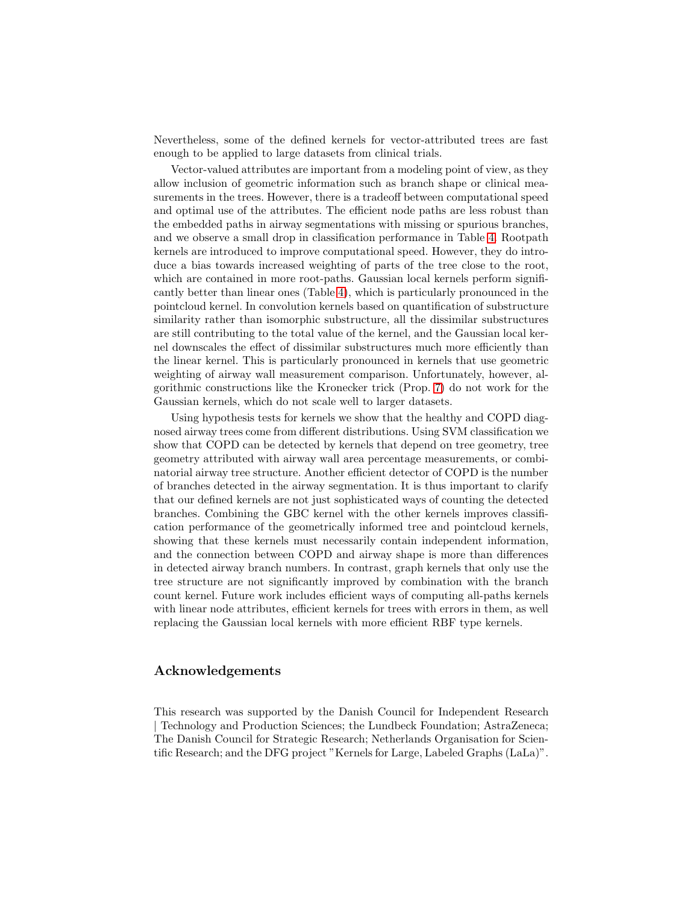Nevertheless, some of the defined kernels for vector-attributed trees are fast enough to be applied to large datasets from clinical trials.

Vector-valued attributes are important from a modeling point of view, as they allow inclusion of geometric information such as branch shape or clinical measurements in the trees. However, there is a tradeoff between computational speed and optimal use of the attributes. The efficient node paths are less robust than the embedded paths in airway segmentations with missing or spurious branches, and we observe a small drop in classification performance in Table [4.](#page-9-0) Rootpath kernels are introduced to improve computational speed. However, they do introduce a bias towards increased weighting of parts of the tree close to the root, which are contained in more root-paths. Gaussian local kernels perform significantly better than linear ones (Table [4\)](#page-9-0), which is particularly pronounced in the pointcloud kernel. In convolution kernels based on quantification of substructure similarity rather than isomorphic substructure, all the dissimilar substructures are still contributing to the total value of the kernel, and the Gaussian local kernel downscales the effect of dissimilar substructures much more efficiently than the linear kernel. This is particularly pronounced in kernels that use geometric weighting of airway wall measurement comparison. Unfortunately, however, algorithmic constructions like the Kronecker trick (Prop. [7\)](#page-4-4) do not work for the Gaussian kernels, which do not scale well to larger datasets.

Using hypothesis tests for kernels we show that the healthy and COPD diagnosed airway trees come from different distributions. Using SVM classification we show that COPD can be detected by kernels that depend on tree geometry, tree geometry attributed with airway wall area percentage measurements, or combinatorial airway tree structure. Another efficient detector of COPD is the number of branches detected in the airway segmentation. It is thus important to clarify that our defined kernels are not just sophisticated ways of counting the detected branches. Combining the GBC kernel with the other kernels improves classification performance of the geometrically informed tree and pointcloud kernels, showing that these kernels must necessarily contain independent information, and the connection between COPD and airway shape is more than differences in detected airway branch numbers. In contrast, graph kernels that only use the tree structure are not significantly improved by combination with the branch count kernel. Future work includes efficient ways of computing all-paths kernels with linear node attributes, efficient kernels for trees with errors in them, as well replacing the Gaussian local kernels with more efficient RBF type kernels.

# Acknowledgements

This research was supported by the Danish Council for Independent Research | Technology and Production Sciences; the Lundbeck Foundation; AstraZeneca; The Danish Council for Strategic Research; Netherlands Organisation for Scientific Research; and the DFG project "Kernels for Large, Labeled Graphs (LaLa)".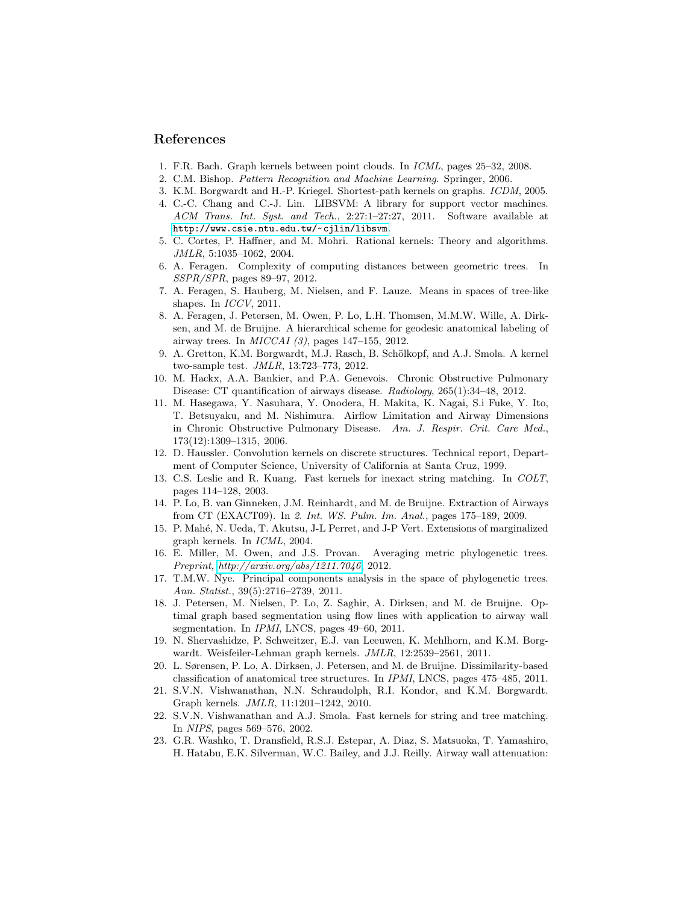## <span id="page-11-17"></span>References

- <span id="page-11-20"></span>1. F.R. Bach. Graph kernels between point clouds. In *ICML*, pages 25–32, 2008.
- <span id="page-11-14"></span>2. C.M. Bishop. *Pattern Recognition and Machine Learning*. Springer, 2006.
- <span id="page-11-9"></span>3. K.M. Borgwardt and H.-P. Kriegel. Shortest-path kernels on graphs. *ICDM*, 2005.
- 4. C.-C. Chang and C.-J. Lin. LIBSVM: A library for support vector machines. *ACM Trans. Int. Syst. and Tech.*, 2:27:1–27:27, 2011. Software available at <http://www.csie.ntu.edu.tw/~cjlin/libsvm>.
- <span id="page-11-11"></span>5. C. Cortes, P. Haffner, and M. Mohri. Rational kernels: Theory and algorithms. *JMLR*, 5:1035–1062, 2004.
- <span id="page-11-7"></span><span id="page-11-3"></span>6. A. Feragen. Complexity of computing distances between geometric trees. In *SSPR/SPR*, pages 89–97, 2012.
- <span id="page-11-4"></span>7. A. Feragen, S. Hauberg, M. Nielsen, and F. Lauze. Means in spaces of tree-like shapes. In *ICCV*, 2011.
- 8. A. Feragen, J. Petersen, M. Owen, P. Lo, L.H. Thomsen, M.M.W. Wille, A. Dirksen, and M. de Bruijne. A hierarchical scheme for geodesic anatomical labeling of airway trees. In *MICCAI (3)*, pages 147–155, 2012.
- <span id="page-11-10"></span><span id="page-11-2"></span>9. A. Gretton, K.M. Borgwardt, M.J. Rasch, B. Schölkopf, and A.J. Smola. A kernel two-sample test. *JMLR*, 13:723–773, 2012.
- 10. M. Hackx, A.A. Bankier, and P.A. Genevois. Chronic Obstructive Pulmonary Disease: CT quantification of airways disease. *Radiology*, 265(1):34–48, 2012.
- <span id="page-11-0"></span>11. M. Hasegawa, Y. Nasuhara, Y. Onodera, H. Makita, K. Nagai, S.i Fuke, Y. Ito, T. Betsuyaku, and M. Nishimura. Airflow Limitation and Airway Dimensions in Chronic Obstructive Pulmonary Disease. *Am. J. Respir. Crit. Care Med.*, 173(12):1309–1315, 2006.
- <span id="page-11-19"></span>12. D. Haussler. Convolution kernels on discrete structures. Technical report, Department of Computer Science, University of California at Santa Cruz, 1999.
- <span id="page-11-12"></span>13. C.S. Leslie and R. Kuang. Fast kernels for inexact string matching. In *COLT*, pages 114–128, 2003.
- <span id="page-11-22"></span>14. P. Lo, B. van Ginneken, J.M. Reinhardt, and M. de Bruijne. Extraction of Airways from CT (EXACT09). In *2. Int. WS. Pulm. Im. Anal.*, pages 175–189, 2009.
- <span id="page-11-18"></span>15. P. Mahé, N. Ueda, T. Akutsu, J-L Perret, and J-P Vert. Extensions of marginalized graph kernels. In *ICML*, 2004.
- <span id="page-11-5"></span>16. E. Miller, M. Owen, and J.S. Provan. Averaging metric phylogenetic trees. *Preprint,<http://arxiv.org/abs/1211.7046>*, 2012.
- <span id="page-11-6"></span>17. T.M.W. Nye. Principal components analysis in the space of phylogenetic trees. *Ann. Statist.*, 39(5):2716–2739, 2011.
- <span id="page-11-21"></span>18. J. Petersen, M. Nielsen, P. Lo, Z. Saghir, A. Dirksen, and M. de Bruijne. Optimal graph based segmentation using flow lines with application to airway wall segmentation. In *IPMI*, LNCS, pages 49–60, 2011.
- <span id="page-11-15"></span>19. N. Shervashidze, P. Schweitzer, E.J. van Leeuwen, K. Mehlhorn, and K.M. Borgwardt. Weisfeiler-Lehman graph kernels. *JMLR*, 12:2539–2561, 2011.
- <span id="page-11-8"></span>20. L. Sørensen, P. Lo, A. Dirksen, J. Petersen, and M. de Bruijne. Dissimilarity-based classification of anatomical tree structures. In *IPMI*, LNCS, pages 475–485, 2011.
- <span id="page-11-16"></span>21. S.V.N. Vishwanathan, N.N. Schraudolph, R.I. Kondor, and K.M. Borgwardt. Graph kernels. *JMLR*, 11:1201–1242, 2010.
- <span id="page-11-13"></span>22. S.V.N. Vishwanathan and A.J. Smola. Fast kernels for string and tree matching. In *NIPS*, pages 569–576, 2002.
- <span id="page-11-1"></span>23. G.R. Washko, T. Dransfield, R.S.J. Estepar, A. Diaz, S. Matsuoka, T. Yamashiro, H. Hatabu, E.K. Silverman, W.C. Bailey, and J.J. Reilly. Airway wall attenuation: